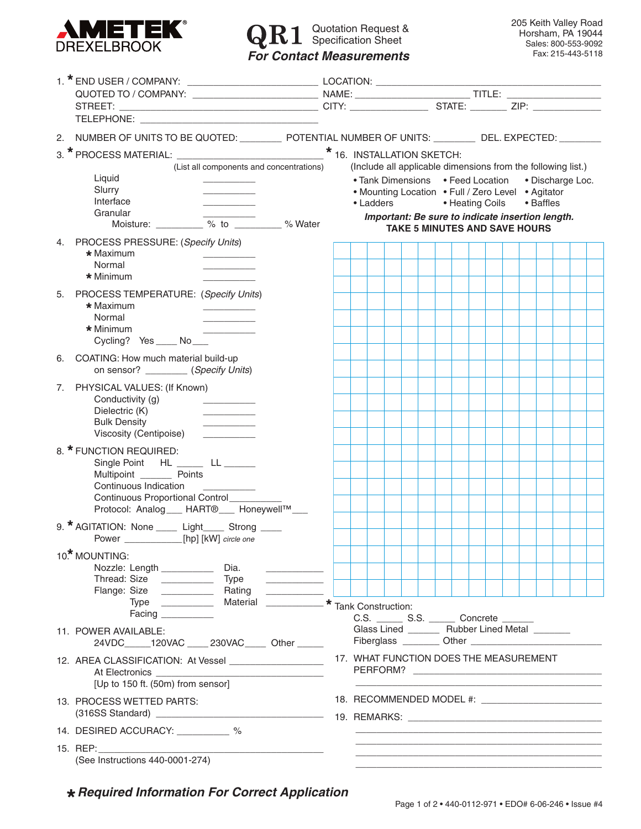

## Quotation Request & Specification Sheet *For Contact Measurements*

|                                                                                                                                   | 2. NUMBER OF UNITS TO BE QUOTED: __________ POTENTIAL NUMBER OF UNITS: ________ DEL. EXPECTED: ________ |  |  |  |  |  |  |  |  |  |  |  |  |
|-----------------------------------------------------------------------------------------------------------------------------------|---------------------------------------------------------------------------------------------------------|--|--|--|--|--|--|--|--|--|--|--|--|
|                                                                                                                                   |                                                                                                         |  |  |  |  |  |  |  |  |  |  |  |  |
| (List all components and concentrations)                                                                                          | (Include all applicable dimensions from the following list.)                                            |  |  |  |  |  |  |  |  |  |  |  |  |
| Liquid<br>Slurry                                                                                                                  | • Tank Dimensions • Feed Location<br>• Discharge Loc.                                                   |  |  |  |  |  |  |  |  |  |  |  |  |
| Interface                                                                                                                         | • Mounting Location • Full / Zero Level • Agitator<br>• Ladders<br>• Baffles<br>• Heating Coils         |  |  |  |  |  |  |  |  |  |  |  |  |
| Granular<br>Moisture: % to % Water                                                                                                | Important: Be sure to indicate insertion length.                                                        |  |  |  |  |  |  |  |  |  |  |  |  |
|                                                                                                                                   | <b>TAKE 5 MINUTES AND SAVE HOURS</b>                                                                    |  |  |  |  |  |  |  |  |  |  |  |  |
| 4. PROCESS PRESSURE: (Specify Units)<br>* Maximum                                                                                 |                                                                                                         |  |  |  |  |  |  |  |  |  |  |  |  |
| Normal                                                                                                                            |                                                                                                         |  |  |  |  |  |  |  |  |  |  |  |  |
| * Minimum                                                                                                                         |                                                                                                         |  |  |  |  |  |  |  |  |  |  |  |  |
| 5. PROCESS TEMPERATURE: (Specify Units)<br>$\star$ Maximum                                                                        |                                                                                                         |  |  |  |  |  |  |  |  |  |  |  |  |
| Normal                                                                                                                            |                                                                                                         |  |  |  |  |  |  |  |  |  |  |  |  |
| * Minimum<br>Cycling? Yes _____ No ____                                                                                           |                                                                                                         |  |  |  |  |  |  |  |  |  |  |  |  |
| 6. COATING: How much material build-up                                                                                            |                                                                                                         |  |  |  |  |  |  |  |  |  |  |  |  |
| on sensor? (Specify Units)                                                                                                        |                                                                                                         |  |  |  |  |  |  |  |  |  |  |  |  |
| PHYSICAL VALUES: (If Known)<br>7.                                                                                                 |                                                                                                         |  |  |  |  |  |  |  |  |  |  |  |  |
| Conductivity (g)<br>Dielectric (K)                                                                                                |                                                                                                         |  |  |  |  |  |  |  |  |  |  |  |  |
| <b>Bulk Density</b>                                                                                                               |                                                                                                         |  |  |  |  |  |  |  |  |  |  |  |  |
| Viscosity (Centipoise)                                                                                                            |                                                                                                         |  |  |  |  |  |  |  |  |  |  |  |  |
| 8. * FUNCTION REQUIRED:<br>Single Point HL ______ LL ______                                                                       |                                                                                                         |  |  |  |  |  |  |  |  |  |  |  |  |
| Multipoint ____________ Points                                                                                                    |                                                                                                         |  |  |  |  |  |  |  |  |  |  |  |  |
| Continuous Indication<br>Continuous Proportional Control_____                                                                     |                                                                                                         |  |  |  |  |  |  |  |  |  |  |  |  |
| Protocol: Analog___ HART <sup>®</sup> ___ Honeywell™___                                                                           |                                                                                                         |  |  |  |  |  |  |  |  |  |  |  |  |
| 9. * AGITATION: None _____ Light_____ Strong ____                                                                                 |                                                                                                         |  |  |  |  |  |  |  |  |  |  |  |  |
| Power ________________[hp] [kW] circle one                                                                                        |                                                                                                         |  |  |  |  |  |  |  |  |  |  |  |  |
| 10 <sup>*</sup> MOUNTING:                                                                                                         |                                                                                                         |  |  |  |  |  |  |  |  |  |  |  |  |
| Nozzle: Length __________<br>Dia.                                                                                                 |                                                                                                         |  |  |  |  |  |  |  |  |  |  |  |  |
| Flange: Size<br>Rating                                                                                                            |                                                                                                         |  |  |  |  |  |  |  |  |  |  |  |  |
| Facing <b>Example 20</b>                                                                                                          | C.S. _________ S.S. _________ Concrete ________                                                         |  |  |  |  |  |  |  |  |  |  |  |  |
| 11. POWER AVAILABLE:                                                                                                              | Glass Lined _________ Rubber Lined Metal ________                                                       |  |  |  |  |  |  |  |  |  |  |  |  |
| 24VDC_____120VAC ____ 230VAC_____ Other _____                                                                                     | Fiberglass ________ Other ____________                                                                  |  |  |  |  |  |  |  |  |  |  |  |  |
| 12. AREA CLASSIFICATION: At Vessel ____________________                                                                           | 17. WHAT FUNCTION DOES THE MEASUREMENT                                                                  |  |  |  |  |  |  |  |  |  |  |  |  |
| At Electronics _______________<br>[Up to 150 ft. (50m) from sensor]                                                               |                                                                                                         |  |  |  |  |  |  |  |  |  |  |  |  |
| 13. PROCESS WETTED PARTS:                                                                                                         | 18. RECOMMENDED MODEL #: _________________________                                                      |  |  |  |  |  |  |  |  |  |  |  |  |
|                                                                                                                                   |                                                                                                         |  |  |  |  |  |  |  |  |  |  |  |  |
| 14. DESIRED ACCURACY: _________ %                                                                                                 |                                                                                                         |  |  |  |  |  |  |  |  |  |  |  |  |
| 15. REP:<br><u> 1989 - Johann Harry Harry Harry Harry Harry Harry Harry Harry Harry Harry Harry Harry Harry Harry Harry Harry</u> |                                                                                                         |  |  |  |  |  |  |  |  |  |  |  |  |
| (See Instructions 440-0001-274)                                                                                                   |                                                                                                         |  |  |  |  |  |  |  |  |  |  |  |  |

*Required Information For Correct Application*